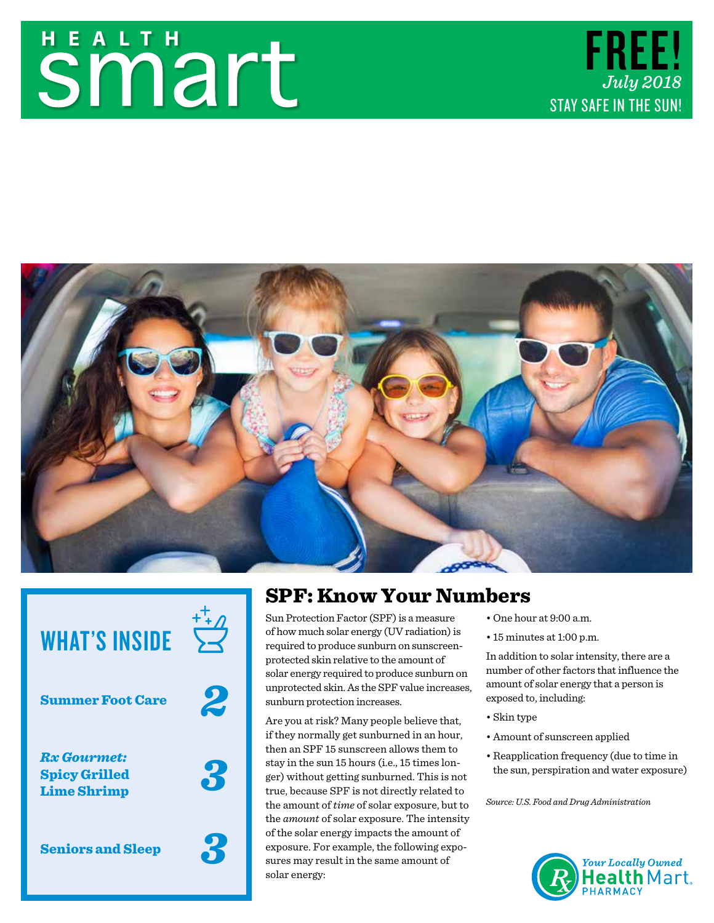# **Smart**





## WHAT'S INSIDE

Summer Foot Care

*2*

*3*

*3*

*Rx Gourmet:* Spicy Grilled Lime Shrimp

Seniors and Sleep

## SPF: Know Your Numbers

Sun Protection Factor (SPF) is a measure of how much solar energy (UV radiation) is required to produce sunburn on sunscreenprotected skin relative to the amount of solar energy required to produce sunburn on unprotected skin. As the SPF value increases, sunburn protection increases.

Are you at risk? Many people believe that, if they normally get sunburned in an hour, then an SPF 15 sunscreen allows them to stay in the sun 15 hours (i.e., 15 times longer) without getting sunburned. This is not true, because SPF is not directly related to the amount of *time* of solar exposure, but to the *amount* of solar exposure. The intensity of the solar energy impacts the amount of exposure. For example, the following exposures may result in the same amount of solar energy:

- One hour at 9:00 a.m.
- 15 minutes at 1:00 p.m.

In addition to solar intensity, there are a number of other factors that influence the amount of solar energy that a person is exposed to, including:

- Skin type
- Amount of sunscreen applied
- Reapplication frequency (due to time in the sun, perspiration and water exposure)

*Source: U.S. Food and Drug Administration*

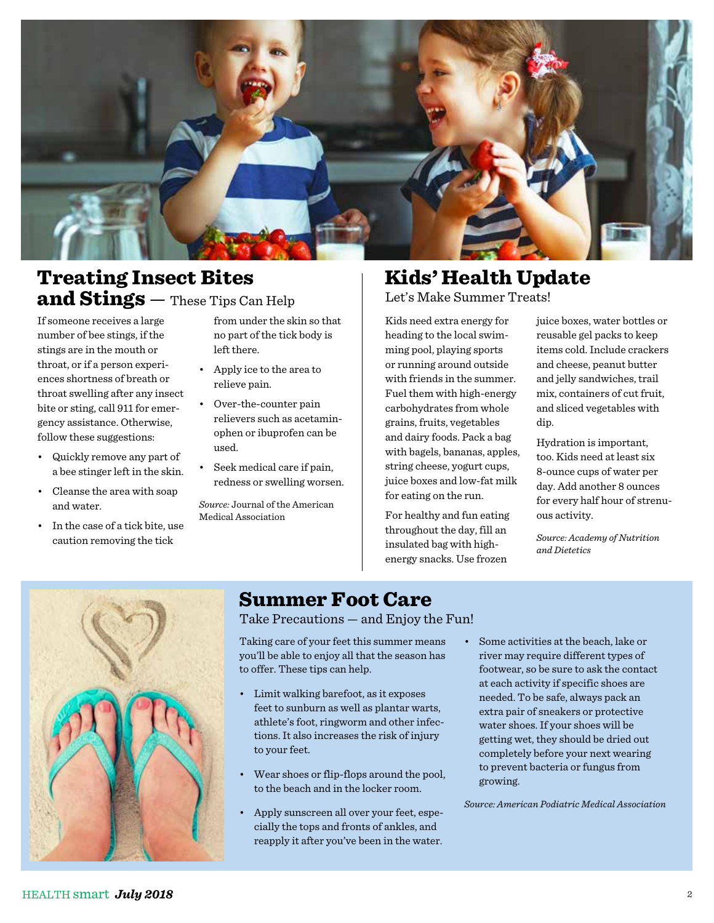

## Treating Insect Bites and Stings — These Tips Can Help

If someone receives a large number of bee stings, if the stings are in the mouth or throat, or if a person experiences shortness of breath or throat swelling after any insect bite or sting, call 911 for emergency assistance. Otherwise, follow these suggestions:

- Quickly remove any part of a bee stinger left in the skin.
- Cleanse the area with soap and water.
- In the case of a tick bite, use caution removing the tick

from under the skin so that no part of the tick body is left there.

- Apply ice to the area to relieve pain.
- Over-the-counter pain relievers such as acetaminophen or ibuprofen can be used.
- Seek medical care if pain, redness or swelling worsen.

*Source:* Journal of the American Medical Association

## Kids' Health Update

Let's Make Summer Treats!

Kids need extra energy for heading to the local swimming pool, playing sports or running around outside with friends in the summer. Fuel them with high-energy carbohydrates from whole grains, fruits, vegetables and dairy foods. Pack a bag with bagels, bananas, apples, string cheese, yogurt cups, juice boxes and low-fat milk for eating on the run.

For healthy and fun eating throughout the day, fill an insulated bag with highenergy snacks. Use frozen

juice boxes, water bottles or reusable gel packs to keep items cold. Include crackers and cheese, peanut butter and jelly sandwiches, trail mix, containers of cut fruit, and sliced vegetables with dip.

Hydration is important, too. Kids need at least six 8-ounce cups of water per day. Add another 8 ounces for every half hour of strenuous activity.

*Source: Academy of Nutrition and Dietetics*



## Summer Foot Care

Take Precautions — and Enjoy the Fun!

Taking care of your feet this summer means you'll be able to enjoy all that the season has to offer. These tips can help.

- Limit walking barefoot, as it exposes feet to sunburn as well as plantar warts, athlete's foot, ringworm and other infections. It also increases the risk of injury to your feet.
- Wear shoes or flip-flops around the pool, to the beach and in the locker room.
- Apply sunscreen all over your feet, especially the tops and fronts of ankles, and reapply it after you've been in the water.
- Some activities at the beach, lake or river may require different types of footwear, so be sure to ask the contact at each activity if specific shoes are needed. To be safe, always pack an extra pair of sneakers or protective water shoes. If your shoes will be getting wet, they should be dried out completely before your next wearing to prevent bacteria or fungus from growing.

*Source: American Podiatric Medical Association*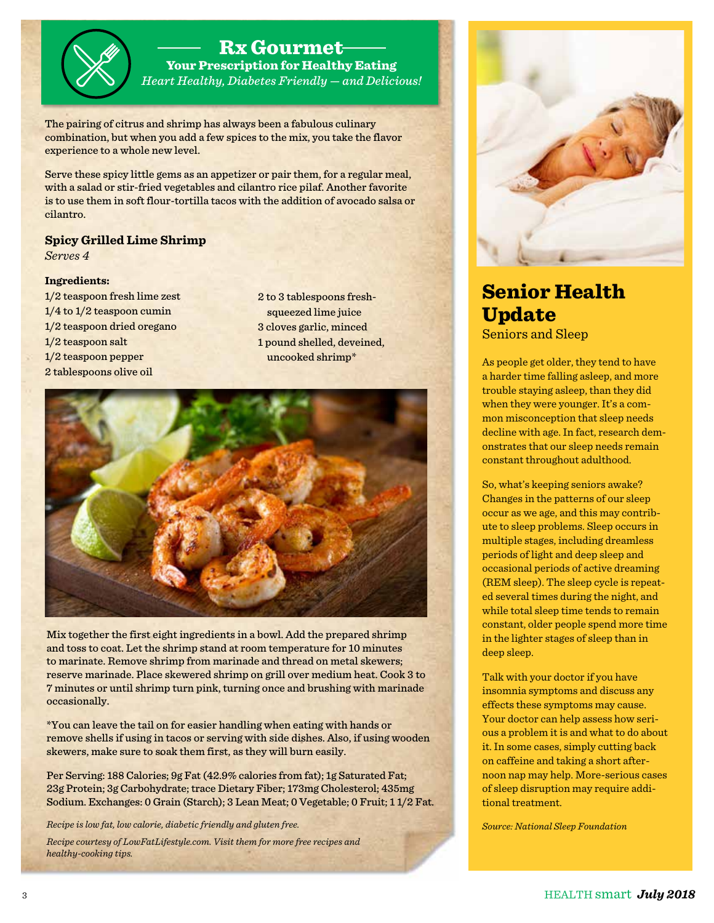#### Rx Gourmet

Your Prescription for Healthy Eating *Heart Healthy, Diabetes Friendly — and Delicious!*

The pairing of citrus and shrimp has always been a fabulous culinary combination, but when you add a few spices to the mix, you take the flavor experience to a whole new level.

Serve these spicy little gems as an appetizer or pair them, for a regular meal, with a salad or stir-fried vegetables and cilantro rice pilaf. Another favorite is to use them in soft flour-tortilla tacos with the addition of avocado salsa or cilantro.

#### **Spicy Grilled Lime Shrimp**

*Serves 4*

#### **Ingredients:**

1/2 teaspoon fresh lime zest 1/4 to 1/2 teaspoon cumin 1/2 teaspoon dried oregano 1/2 teaspoon salt 1/2 teaspoon pepper 2 tablespoons olive oil

2 to 3 tablespoons freshsqueezed lime juice 3 cloves garlic, minced 1 pound shelled, deveined, uncooked shrimp\*



Mix together the first eight ingredients in a bowl. Add the prepared shrimp and toss to coat. Let the shrimp stand at room temperature for 10 minutes to marinate. Remove shrimp from marinade and thread on metal skewers; reserve marinade. Place skewered shrimp on grill over medium heat. Cook 3 to 7 minutes or until shrimp turn pink, turning once and brushing with marinade occasionally.

\*You can leave the tail on for easier handling when eating with hands or remove shells if using in tacos or serving with side dishes. Also, if using wooden skewers, make sure to soak them first, as they will burn easily.

Per Serving: 188 Calories; 9g Fat (42.9% calories from fat); 1g Saturated Fat; 23g Protein; 3g Carbohydrate; trace Dietary Fiber; 173mg Cholesterol; 435mg Sodium. Exchanges: 0 Grain (Starch); 3 Lean Meat; 0 Vegetable; 0 Fruit; 1 1/2 Fat.

*Recipe is low fat, low calorie, diabetic friendly and gluten free.* 

*Recipe courtesy of LowFatLifestyle.com. Visit them for more free recipes and healthy-cooking tips.*



#### Senior Health Update Seniors and Sleep

As people get older, they tend to have a harder time falling asleep, and more trouble staying asleep, than they did when they were younger. It's a common misconception that sleep needs decline with age. In fact, research demonstrates that our sleep needs remain constant throughout adulthood.

So, what's keeping seniors awake? Changes in the patterns of our sleep occur as we age, and this may contribute to sleep problems. Sleep occurs in multiple stages, including dreamless periods of light and deep sleep and occasional periods of active dreaming (REM sleep). The sleep cycle is repeated several times during the night, and while total sleep time tends to remain constant, older people spend more time in the lighter stages of sleep than in deep sleep.

Talk with your doctor if you have insomnia symptoms and discuss any effects these symptoms may cause. Your doctor can help assess how serious a problem it is and what to do about it. In some cases, simply cutting back on caffeine and taking a short afternoon nap may help. More-serious cases of sleep disruption may require additional treatment.

*Source: National Sleep Foundation*